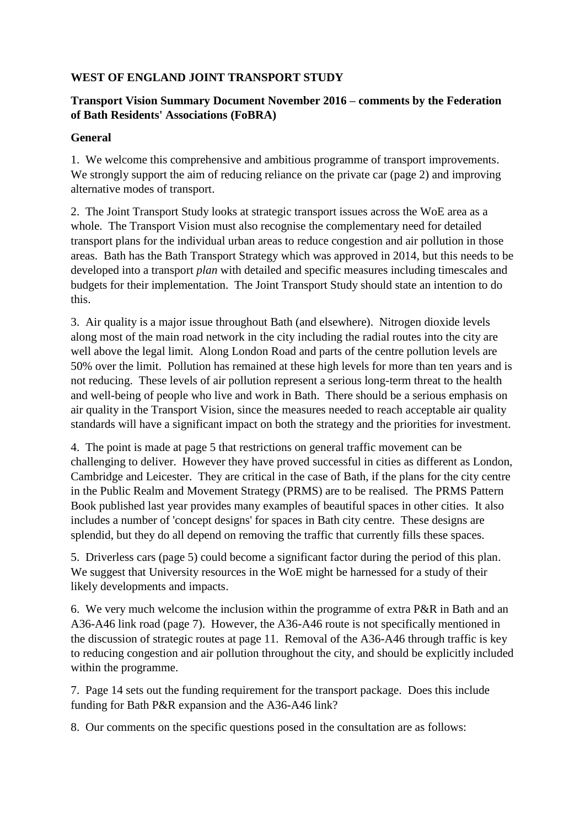## **WEST OF ENGLAND JOINT TRANSPORT STUDY**

## **Transport Vision Summary Document November 2016 – comments by the Federation of Bath Residents' Associations (FoBRA)**

#### **General**

1. We welcome this comprehensive and ambitious programme of transport improvements. We strongly support the aim of reducing reliance on the private car (page 2) and improving alternative modes of transport.

2. The Joint Transport Study looks at strategic transport issues across the WoE area as a whole. The Transport Vision must also recognise the complementary need for detailed transport plans for the individual urban areas to reduce congestion and air pollution in those areas. Bath has the Bath Transport Strategy which was approved in 2014, but this needs to be developed into a transport *plan* with detailed and specific measures including timescales and budgets for their implementation. The Joint Transport Study should state an intention to do this.

3. Air quality is a major issue throughout Bath (and elsewhere). Nitrogen dioxide levels along most of the main road network in the city including the radial routes into the city are well above the legal limit. Along London Road and parts of the centre pollution levels are 50% over the limit. Pollution has remained at these high levels for more than ten years and is not reducing. These levels of air pollution represent a serious long-term threat to the health and well-being of people who live and work in Bath. There should be a serious emphasis on air quality in the Transport Vision, since the measures needed to reach acceptable air quality standards will have a significant impact on both the strategy and the priorities for investment.

4. The point is made at page 5 that restrictions on general traffic movement can be challenging to deliver. However they have proved successful in cities as different as London, Cambridge and Leicester. They are critical in the case of Bath, if the plans for the city centre in the Public Realm and Movement Strategy (PRMS) are to be realised. The PRMS Pattern Book published last year provides many examples of beautiful spaces in other cities. It also includes a number of 'concept designs' for spaces in Bath city centre. These designs are splendid, but they do all depend on removing the traffic that currently fills these spaces.

5. Driverless cars (page 5) could become a significant factor during the period of this plan. We suggest that University resources in the WoE might be harnessed for a study of their likely developments and impacts.

6. We very much welcome the inclusion within the programme of extra P&R in Bath and an A36-A46 link road (page 7). However, the A36-A46 route is not specifically mentioned in the discussion of strategic routes at page 11. Removal of the A36-A46 through traffic is key to reducing congestion and air pollution throughout the city, and should be explicitly included within the programme.

7. Page 14 sets out the funding requirement for the transport package. Does this include funding for Bath P&R expansion and the A36-A46 link?

8. Our comments on the specific questions posed in the consultation are as follows: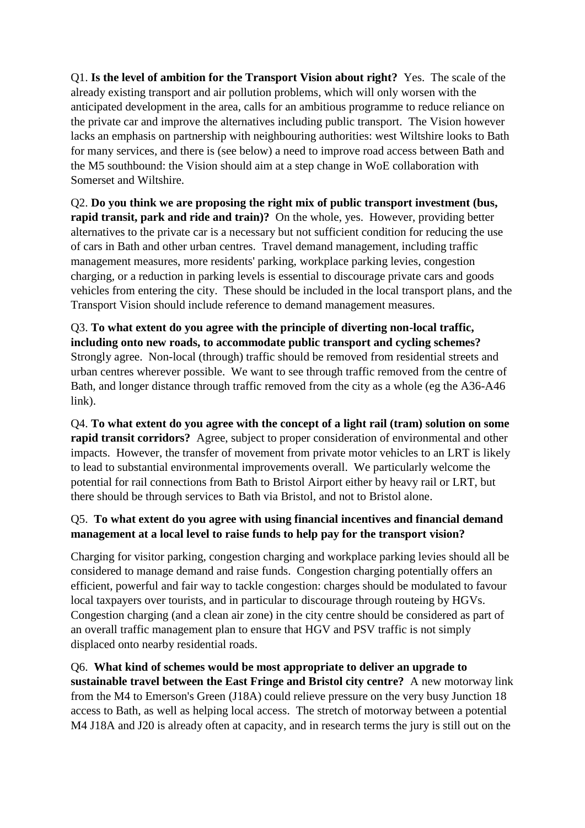Q1. **Is the level of ambition for the Transport Vision about right?** Yes. The scale of the already existing transport and air pollution problems, which will only worsen with the anticipated development in the area, calls for an ambitious programme to reduce reliance on the private car and improve the alternatives including public transport. The Vision however lacks an emphasis on partnership with neighbouring authorities: west Wiltshire looks to Bath for many services, and there is (see below) a need to improve road access between Bath and the M5 southbound: the Vision should aim at a step change in WoE collaboration with Somerset and Wiltshire.

Q2. **Do you think we are proposing the right mix of public transport investment (bus, rapid transit, park and ride and train)?** On the whole, yes. However, providing better alternatives to the private car is a necessary but not sufficient condition for reducing the use of cars in Bath and other urban centres. Travel demand management, including traffic management measures, more residents' parking, workplace parking levies, congestion charging, or a reduction in parking levels is essential to discourage private cars and goods vehicles from entering the city. These should be included in the local transport plans, and the Transport Vision should include reference to demand management measures.

Q3. **To what extent do you agree with the principle of diverting non-local traffic, including onto new roads, to accommodate public transport and cycling schemes?**  Strongly agree. Non-local (through) traffic should be removed from residential streets and urban centres wherever possible. We want to see through traffic removed from the centre of Bath, and longer distance through traffic removed from the city as a whole (eg the A36-A46 link).

Q4. **To what extent do you agree with the concept of a light rail (tram) solution on some rapid transit corridors?** Agree, subject to proper consideration of environmental and other impacts. However, the transfer of movement from private motor vehicles to an LRT is likely to lead to substantial environmental improvements overall. We particularly welcome the potential for rail connections from Bath to Bristol Airport either by heavy rail or LRT, but there should be through services to Bath via Bristol, and not to Bristol alone.

# Q5. **To what extent do you agree with using financial incentives and financial demand management at a local level to raise funds to help pay for the transport vision?**

Charging for visitor parking, congestion charging and workplace parking levies should all be considered to manage demand and raise funds. Congestion charging potentially offers an efficient, powerful and fair way to tackle congestion: charges should be modulated to favour local taxpayers over tourists, and in particular to discourage through routeing by HGVs. Congestion charging (and a clean air zone) in the city centre should be considered as part of an overall traffic management plan to ensure that HGV and PSV traffic is not simply displaced onto nearby residential roads.

Q6. **What kind of schemes would be most appropriate to deliver an upgrade to sustainable travel between the East Fringe and Bristol city centre?** A new motorway link from the M4 to Emerson's Green (J18A) could relieve pressure on the very busy Junction 18 access to Bath, as well as helping local access. The stretch of motorway between a potential M4 J18A and J20 is already often at capacity, and in research terms the jury is still out on the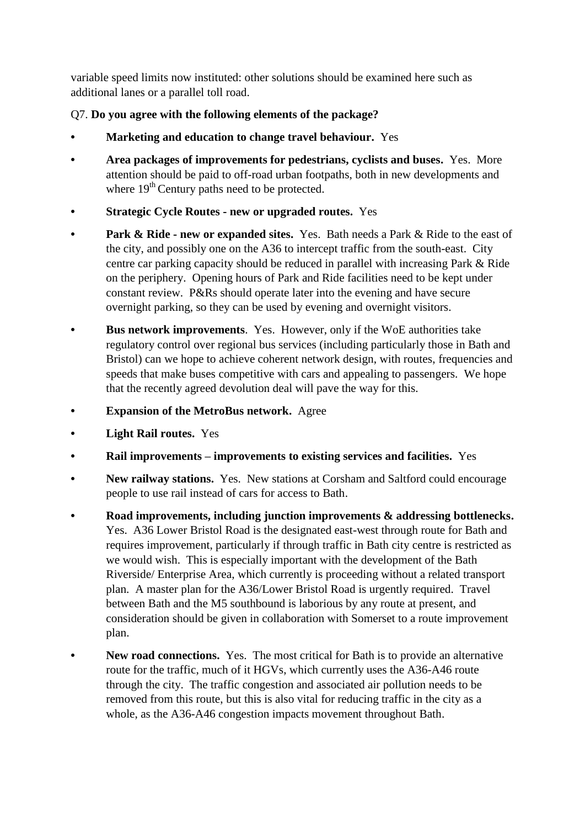variable speed limits now instituted: other solutions should be examined here such as additional lanes or a parallel toll road.

- Q7. **Do you agree with the following elements of the package?**
- **• Marketing and education to change travel behaviour.** Yes
- **• Area packages of improvements for pedestrians, cyclists and buses.** Yes. More attention should be paid to off-road urban footpaths, both in new developments and where 19<sup>th</sup> Century paths need to be protected.
- **• Strategic Cycle Routes - new or upgraded routes.** Yes
- **• Park & Ride new or expanded sites.** Yes. Bath needs a Park & Ride to the east of the city, and possibly one on the A36 to intercept traffic from the south-east. City centre car parking capacity should be reduced in parallel with increasing Park & Ride on the periphery. Opening hours of Park and Ride facilities need to be kept under constant review. P&Rs should operate later into the evening and have secure overnight parking, so they can be used by evening and overnight visitors.
- **• Bus network improvements**. Yes. However, only if the WoE authorities take regulatory control over regional bus services (including particularly those in Bath and Bristol) can we hope to achieve coherent network design, with routes, frequencies and speeds that make buses competitive with cars and appealing to passengers. We hope that the recently agreed devolution deal will pave the way for this.
- **• Expansion of the MetroBus network.** Agree
- **• Light Rail routes.** Yes
- **• Rail improvements – improvements to existing services and facilities.** Yes
- **• New railway stations.** Yes. New stations at Corsham and Saltford could encourage people to use rail instead of cars for access to Bath.
- **• Road improvements, including junction improvements & addressing bottlenecks.**  Yes. A36 Lower Bristol Road is the designated east-west through route for Bath and requires improvement, particularly if through traffic in Bath city centre is restricted as we would wish. This is especially important with the development of the Bath Riverside/ Enterprise Area, which currently is proceeding without a related transport plan. A master plan for the A36/Lower Bristol Road is urgently required. Travel between Bath and the M5 southbound is laborious by any route at present, and consideration should be given in collaboration with Somerset to a route improvement plan.
- **• New road connections.** Yes. The most critical for Bath is to provide an alternative route for the traffic, much of it HGVs, which currently uses the A36-A46 route through the city. The traffic congestion and associated air pollution needs to be removed from this route, but this is also vital for reducing traffic in the city as a whole, as the A36-A46 congestion impacts movement throughout Bath.